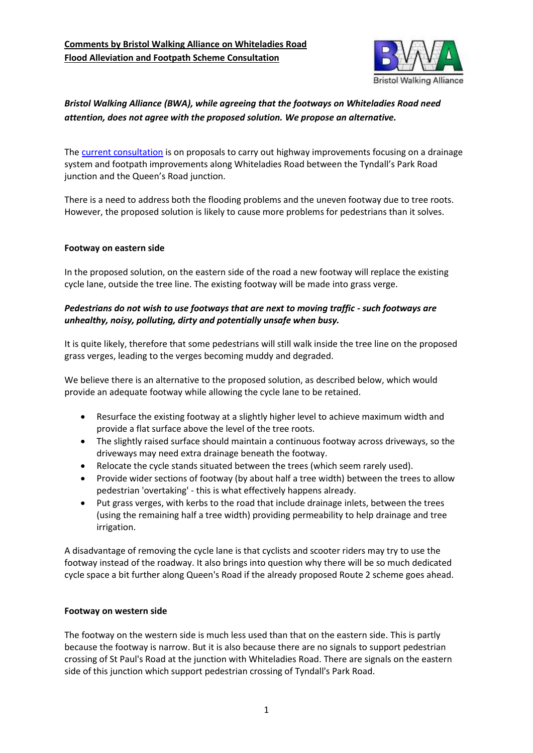

## *Bristol Walking Alliance (BWA), while agreeing that the footways on Whiteladies Road need attention, does not agree with the proposed solution. We propose an alternative.*

The [current consultation](https://bristol.citizenspace.com/sustainable-transport/whiteladies-road-flood-alleviation-consultation/) is on proposals to carry out highway improvements focusing on a drainage system and footpath improvements along Whiteladies Road between the Tyndall's Park Road junction and the Queen's Road junction.

There is a need to address both the flooding problems and the uneven footway due to tree roots. However, the proposed solution is likely to cause more problems for pedestrians than it solves.

## **Footway on eastern side**

In the proposed solution, on the eastern side of the road a new footway will replace the existing cycle lane, outside the tree line. The existing footway will be made into grass verge.

## *Pedestrians do not wish to use footways that are next to moving traffic - such footways are unhealthy, noisy, polluting, dirty and potentially unsafe when busy.*

It is quite likely, therefore that some pedestrians will still walk inside the tree line on the proposed grass verges, leading to the verges becoming muddy and degraded.

We believe there is an alternative to the proposed solution, as described below, which would provide an adequate footway while allowing the cycle lane to be retained.

- Resurface the existing footway at a slightly higher level to achieve maximum width and provide a flat surface above the level of the tree roots.
- The slightly raised surface should maintain a continuous footway across driveways, so the driveways may need extra drainage beneath the footway.
- Relocate the cycle stands situated between the trees (which seem rarely used).
- Provide wider sections of footway (by about half a tree width) between the trees to allow pedestrian 'overtaking' - this is what effectively happens already.
- Put grass verges, with kerbs to the road that include drainage inlets, between the trees (using the remaining half a tree width) providing permeability to help drainage and tree irrigation.

A disadvantage of removing the cycle lane is that cyclists and scooter riders may try to use the footway instead of the roadway. It also brings into question why there will be so much dedicated cycle space a bit further along Queen's Road if the already proposed Route 2 scheme goes ahead.

## **Footway on western side**

The footway on the western side is much less used than that on the eastern side. This is partly because the footway is narrow. But it is also because there are no signals to support pedestrian crossing of St Paul's Road at the junction with Whiteladies Road. There are signals on the eastern side of this junction which support pedestrian crossing of Tyndall's Park Road.